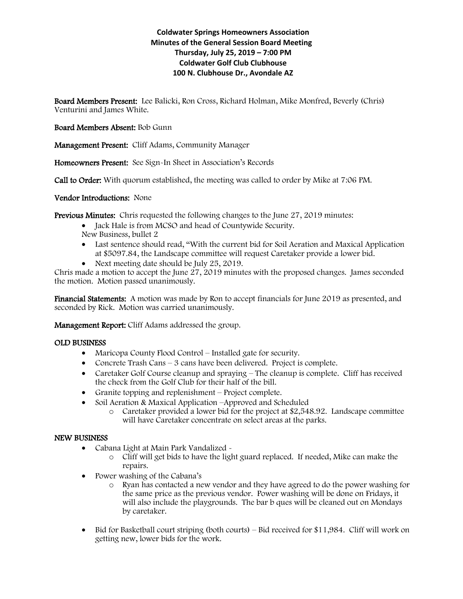# **Coldwater Springs Homeowners Association Minutes of the General Session Board Meeting Thursday, July 25, 2019 – 7:00 PM Coldwater Golf Club Clubhouse 100 N. Clubhouse Dr., Avondale AZ**

Board Members Present: Lee Balicki, Ron Cross, Richard Holman, Mike Monfred, Beverly (Chris) Venturini and James White.

## Board Members Absent: Bob Gunn

Management Present: Cliff Adams, Community Manager

Homeowners Present: See Sign-In Sheet in Association's Records

Call to Order: With quorum established, the meeting was called to order by Mike at 7:06 PM.

Vendor Introductions: None

Previous Minutes: Chris requested the following changes to the June 27, 2019 minutes:

- Jack Hale is from MCSO and head of Countywide Security.
- New Business, bullet 2
- Last sentence should read, "With the current bid for Soil Aeration and Maxical Application at \$5097.84, the Landscape committee will request Caretaker provide a lower bid.
- Next meeting date should be July 25, 2019.

Chris made a motion to accept the June 27, 2019 minutes with the proposed changes. James seconded the motion. Motion passed unanimously.

Financial Statements: A motion was made by Ron to accept financials for June 2019 as presented, and seconded by Rick. Motion was carried unanimously.

Management Report: Cliff Adams addressed the group.

### OLD BUSINESS

- Maricopa County Flood Control Installed gate for security.
- Concrete Trash Cans 3 cans have been delivered. Project is complete.
- Caretaker Golf Course cleanup and spraying The cleanup is complete. Cliff has received the check from the Golf Club for their half of the bill.
- Granite topping and replenishment Project complete.
- Soil Aeration & Maxical Application –Approved and Scheduled
	- o Caretaker provided a lower bid for the project at \$2,548.92. Landscape committee will have Caretaker concentrate on select areas at the parks.

### NEW BUSINESS

- Cabana Light at Main Park Vandalized
	- o Cliff will get bids to have the light guard replaced. If needed, Mike can make the repairs.
- Power washing of the Cabana's
	- o Ryan has contacted a new vendor and they have agreed to do the power washing for the same price as the previous vendor. Power washing will be done on Fridays, it will also include the playgrounds. The bar b ques will be cleaned out on Mondays by caretaker.
- Bid for Basketball court striping (both courts) Bid received for \$11,984. Cliff will work on getting new, lower bids for the work.